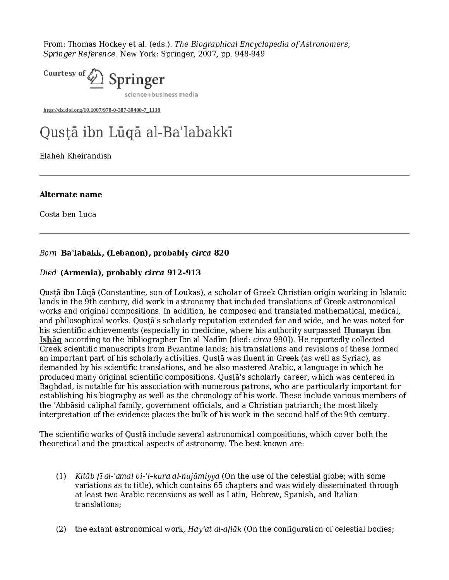From: Thomas Hockey et al. (eds.). The Biographical Encyclopedia of Astronomers, Springer Reference. New York: Springer, 2007, pp. 948-949



**http://dx.doi.org/10.1007/978-0-387-30400-7\_1138**

# Qusṭā ibn Lūqā al‐Baʿlabakkī

Elaheh Kheirandish

Costa ben Luca

Costa ben Luca<br>
Costa ben Luca<br>
Born Ba'labakk,<br>
Died (Armenia),<br>
Qustā ibn Lūqā (C<br>
lands in the 9th ce<br>
works and origina<br>
and philosophical<br>
his scientific achie<br>
Ishāq according t<br>
Greek scientific m<br>
an important part Died (Armenia), probably circa 820<br>Died (Armenia), probably circa 912-913<br>Qusta ibn Lūqā (Constantine, son of Loukas), a scho<br>lands in the 9th century, did work in astronomy that<br>works and original compositions. In additio Died (**Armenia**), probably circa 912–913–913<br>Qusta ibn Lūgā (Constantine, son of Loukas)<br>lands in the 9th century, did work in astrono<br>works and original compositions. In addition<br>and philosophical works. Qusta's scholarly Qusṭā ibn Lūqā (Constantine, son of Loukas), a scholar of Greek Christian origin working in Islamic lands in the 9th century, did work in astronomy that included translations of Greek astronomical works and original compositions. In addition, he composed and translated mathematical, medical, and philosophical works. Qusṭā's scholarly reputation extended far and wide, and he was noted for<br>his scientific achievements (especially in medicine, where his authority surpassed **Hunayn ibn** his scientific achievements (sepecially in medicine, where his authority surpassed **Hunayn ibn** scientific achievements (seek scientific manuscripts from Byzantine lands; his translations and revisions of these formen dim **Ishāq according to the bibliographer Ibn al-Nadīm (died: circa 990). He reportedly collected infinition (died: circal 990). He reportedly collected an important part of his scholarly activities. Qusta was fluent in Greek** Greek scientific manuscripts from Byzantine lands; his translations and revisions of these formed an important part of his scholarly activities. Qusṭā was fluent in Greek (as well as Syriac), as demanded by his scientific translations, and he also mastered Arabic, a language in which he produced many original scientific compositions. Qusṭā's scholarly career, which was centered in Baghdad, is notable for his association with numerous patrons, who are particularly important for establishing his biography as well as the chronology of his work. These include various members of the ʿAbbāsid caliphal family, government officials, and a Christian patriarch; the most likely interpretation of the evidence places the bulk of his work in the second half of the 9th century.

The scientific works of Qusta include several astronomical compositions, which cover both the theoretical and the practical aspects of astronomy. The best known are:

- (1) Kitāb fī al-'amal bi-'l-kura al-nujūmiyya (On the use of the celestial globe; with some variations as to title), which contains 65 chapters and was widely disseminated through at least two Arabic recensions as well as Latin, Hebrew, Spanish, and Italian translations;
- (2) the extant astronomical work,  $Hav'at$  al-aflak (On the configuration of celestial bodies;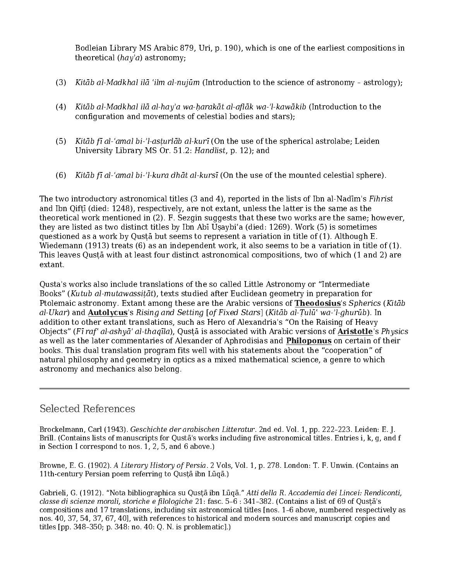Bodleian Library MS Arabic 879, Uri, p. 190), which is one of the earliest compositions in theoretical  $(ha\gamma'a)$  astronomy;

- (3) Kitāb al‐Madkhal ilā ʿilm al‐nujūm (Introduction to the science of astronomy astrology);
- (4) Kitāb al‐Madkhal ilā al‐hayʾa wa‐ḥarakāt al‐aflāk wa‐ʾl‐kawākib (Introduction to the configuration and movements of celestial bodies and stars);
- (5) Kitāb fī al‐ʿamal bi‐ʾl‐asṭurlāb al‐kurī (On the use of the spherical astrolabe; Leiden University Library MS Or. 51.2: Handlist, p. 12); and
- (6) Kitāb fī al‐ʿamal bi‐ʾl‐kura dhāt al‐kursī (On the use of the mounted celestial sphere).

The two introductory astronomical titles (3 and 4), reported in the lists of Ibn al-Nadīm's Fihrist and Ibn Qifṭī (died: 1248), respectively, are not extant, unless the latter is the same as the theoretical work mentioned in (2). F. Sezgin suggests that these two works are the same; however, they are listed as two distinct titles by Ibn Abī Uṣaybiʿa (died: 1269). Work (5) is sometimes questioned as a work by Qusta but seems to represent a variation in title of  $(1)$ . Although E. Wiedemann (1913) treats (6) as an independent work, it also seems to be a variation in title of (1). This leaves Qusṭā with at least four distinct astronomical compositions, two of which (1 and 2) are extant.

Qusta's works also include translations of the so called Little Astronomy or "Intermediate Books" (Kutub al-mutawassitāt), texts studied after Euclidean geometry in preparation for Ptolemaic astronomy. Extant among these are the Arabic versions of **Theodosius's Spherics** (Kitāb collemation to other extant translations, such as Hero of Arestandria's "On the Raising of Heavy<br>Objects" (Fingl client amo al-Ukar) and <u>Autolycus's</u> Rising and Setting [of Fixed Stars] (Kitāb al-Tulü' wa-'l-ghurūb). In the chadibition to then rextant translations, such as Hero of Alexarderia's "On the Raising of Heavy Bobjects" (Fir of al-as addition to other extant translations, such as Hero of Alexandria's "On the Raising of Heavy Objects" (Fī raf' al-ashyāʾ al-thaqīla), Qustā is associated with Arabic versions of **Aristotle**'s Physics<br>as well as the later commentaries of Alexander of Aphrodisias and **Philoponus** on certain of their<br>books. This dual books. This dual translation program fits well with his statements about the "cooperation" of natural philosophy and geometry in optics as a mixed mathematical science, a genre to which astronomy and mechanics also belong.

## Selected References

as well as the later commentaries of Alexander of Aphrodisias and <u>Philoponus o</u>n certain of their<br>books. This dual translation program fits well with his statements about the "cooperation" of<br>natural philosophy and geomet Brockelmann, Carl (1943). *Geschichte der arabischen Litteratur*. 2nd ed. Vol. 1, pp. 222–223. Leiden: E. J. Brill. (Contains lists of manuscripts for Qustã's works including five astronomical titles. Entries i, k, g, and Brill. (Contains lists of manuscripts for Qustā's works including five astronomical titles. Entries i, k, g, and f<br>in Section I correspond to nos. 1, 2, 5, and 6 above.)<br>Browne, E. G. (1902). *A Literary History of Persia* Frowne, E. G. (1902). A Literary History of Persia. 2<br>11th-century Persian poem referring to Qusta ibn Lu<br>Gabrieli, G. (1912). "Nota bibliographica su Qusta ibn<br>classe di scienze morali, storiche e filologiche 21: fas<br>comp Browne, E. G. (1902). *A Literary History of Persia.* 2 Vols, Vol. 1, p. 278. London: T. F. Unwin. (Contains an 11th-century Persian poem referring to Qusta ibn Luqa.)<br>Gabrieli, G. (1912). "Nota bibliographica su Qusta ibn Gabrieli, G. (1912). "Nota bibliographica su Qusṭā ibn Lūclasse di scienze morali, storiche e filologiche 21: fasc. 5-compositions and 17 translations, including six astronominos. 40, 37, 54, 37, 67, 40], with references t Gabrieli, G. (1912). "Nota bibliographica su Qusṭā ibn Lūqā." Atti della R. Accademia dei Lincei: Rendiconti,<br>classe di scienze morali, storiche e filologiche 21: fasc. 5-6 : 341-382. (Contains a list of 69 of Qusṭā's<br>comp classe di scienze morali, storiche e filologiche 21: fasc. 5-6 : 341-382. (Contains a list of 69 of Qusṭā's compositions and 17 translations, including six astronomical titles [nos. 1-6 above, numbered respections. 40, 37, nos. 40, 37, 54, 37, 67, 40], with references to historical and modern sources and manuscript copies and titles [pp. 348-350; p. 348: no. 40: Q. N. is problematic].) nos. 40, 37, 54, 37, 67, 40], with references to historical and modern sources and manuscript copies and  $t$  if  $t$  and  $t$  if  $t$  and  $t$  is  $\mathcal{L}(t)$  is problematic.).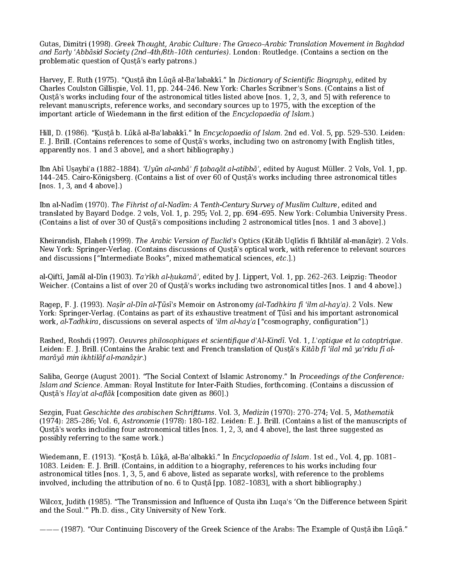Gutas, Dimitri (1998). Greek Thought, Arabic Culture: The Graeco–Arabic Translation Movement in Baghdad and Early ʿAbbāsid Society (2nd–4th/8th–10th centuries). London: Routledge. (Contains a section on the problematic question of Qusṭā's early patrons.)

Harvey, E. Ruth (1975). "Qusṭā ibn Lūqā al-Baʿlabakkī." In Dictionary of Scientific Biography, edited by Charles Coulston Gillispie, Vol. 11, pp. 244–246. New York: Charles Scribner's Sons. (Contains a list of Qusṭā's works including four of the astronomical titles listed above [nos. 1, 2, 3, and 5] with reference to relevant manuscripts, reference works, and secondary sources up to 1975, with the exception of the important article of Wiedemann in the first edition of the Encyclopaedia of Islam.)

Hill, D. (1986). "Kustā b. Lūkā al-Baʿlabakkī." In Encyclopaedia of Islam. 2nd ed. Vol. 5, pp. 529-530. Leiden: E. J. Brill. (Contains references to some of Qusṭā's works, including two on astronomy [with English titles, apparently nos. 1 and 3 above], and a short bibliography.)

Ibn Abī Uṣaybiʿa (1882–1884). ʿUyūn al‐anbāʾ fī ṭabaqāt al‐atibbāʾ, edited by August Müller. 2 Vols, Vol. 1, pp. 144–245. Cairo‐Königsberg. (Contains a list of over 60 of Qusṭā's works including three astronomical titles [nos. 1, 3, and 4 above].)

Ibn al-Nadīm (1970). The Fihrist of al-Nadīm: A Tenth-Century Survey of Muslim Culture, edited and translated by Bayard Dodge. 2 vols, Vol. 1, p. 295; Vol. 2, pp. 694–695. New York: Columbia University Press. (Contains a list of over 30 of Qusṭā's compositions including 2 astronomical titles [nos. 1 and 3 above].)

Kheirandish, Elaheh (1999). The Arabic Version of Euclid's Optics (Kitāb Uqlīdis fī Ikhtilāf al-manāzir). 2 Vols. New York: Springer‐Verlag. (Contains discussions of Qusṭā's optical work, with reference to relevant sources and discussions ["Intermediate Books", mixed mathematical sciences, etc.].)

al‐Qiftī, Jamāl al‐Dīn (1903). Ta'rīkh al‐ḥukamā', edited by J. Lippert, Vol. 1, pp. 262–263. Leipzig: Theodor Weicher. (Contains a list of over 20 of Qusṭā's works including two astronomical titles [nos. 1 and 4 above].)

Ragep, F. J. (1993). Naṣīr al‐Dīn al‐Ṭūsī's Memoir on Astronomy (al‐Tadhkira fī ʿilm al‐hayʾa). 2 Vols. New York: Springer‐Verlag. (Contains as part of its exhaustive treatment of Ṭūsī and his important astronomical work, al-Tadhkira, discussions on several aspects of 'ilm al-hay'a ["cosmography, configuration"].)

Rashed, Roshdi (1997). Oeuvres philosophiques et scientifique d'Al‐Kindī. Vol. 1, L'optique et la catoptrique. Leiden: E. J. Brill. (Contains the Arabic text and French translation of Qusta's Kitāb fī 'ilal mā ya'ridu fī almarāyā min ikhtilāf al‐manāẓir.)

Saliba, George (August 2001). "The Social Context of Islamic Astronomy." In Proceedings of the Conference: Islam and Science. Amman: Royal Institute for Inter‐Faith Studies, forthcoming. (Contains a discussion of Qustā's Hay'at al-aflāk [composition date given as 860].)

Sezgin, Fuat Geschichte des arabischen Schrifttums. Vol. 3, Medizin (1970): 270–274; Vol. 5, Mathematik (1974): 285–286; Vol. 6, Astronomie (1978): 180–182. Leiden: E. J. Brill. (Contains a list of the manuscripts of Qusṭā's works including four astronomical titles [nos. 1, 2, 3, and 4 above], the last three suggested as possibly referring to the same work.)

Wiedemann, E. (1913). "Kostā b. Lūkā, al-Baʿalbakkī." In Encyclopaedia of Islam. 1st ed., Vol. 4, pp. 1081-1083. Leiden: E. J. Brill. (Contains, in addition to a biography, references to his works including four astronomical titles [nos. 1, 3, 5, and 6 above, listed as separate works], with reference to the problems involved, including the attribution of no. 6 to Qusṭā [pp. 1082–1083], with a short bibliography.)

Wilcox, Judith (1985). "The Transmission and Influence of Qusta ibn Luqa's 'On the Difference between Spirit and the Soul.'" Ph.D. diss., City University of New York.

——— (1987). "Our Continuing Discovery of the Greek Science of the Arabs: The Example of Qusṭā ibn Lūqā."